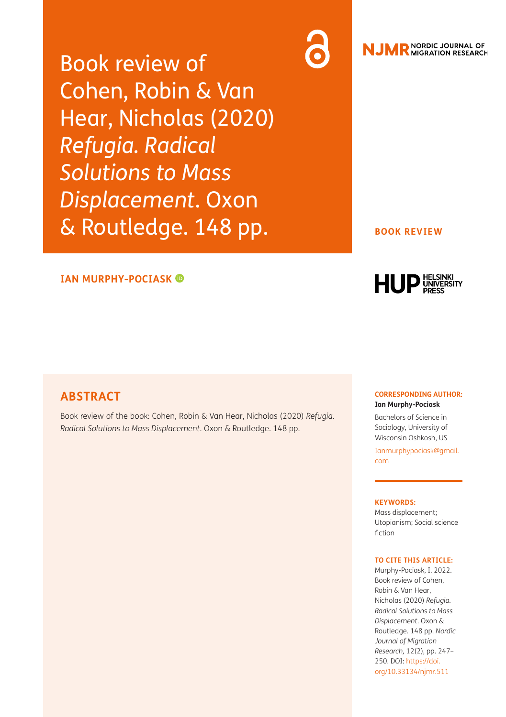Book review of Cohen, Robin & Van Hear, Nicholas (2020) *Refugia. Radical Solutions to Mass Displacement*. Oxon & Routledge. 148 pp.

### **IAN MURPHY-POCIASK**

## **ABSTRACT**

Book review of the book: Cohen, Robin & Van Hear, Nicholas (2020) *Refugia. Radical Solutions to Mass Displacement*. Oxon & Routledge. 148 pp.

#### **CORRESPONDING AUTHOR: Ian Murphy-Pociask**

Bachelors of Science in Sociology, University of Wisconsin Oshkosh, US

**BOOK REVIEW**

**HUP** ELSING

**NJMR** MORDIC JOURNAL OF

[Ianmurphypociask@gmail.](mailto:Ianmurphypociask@gmail.com) [com](mailto:Ianmurphypociask@gmail.com)

### **KEYWORDS:**

Mass displacement; Utopianism; Social science fiction

#### **TO CITE THIS ARTICLE:**

Murphy-Pociask, I. 2022. Book review of Cohen, Robin & Van Hear, Nicholas (2020) *Refugia. Radical Solutions to Mass Displacement*. Oxon & Routledge. 148 pp. *Nordic Journal of Migration Research,* 12(2), pp. 247– 250. DOI: [https://doi.](https://doi.org/10.33134/njmr.511) [org/10.33134/njmr.511](https://doi.org/10.33134/njmr.511)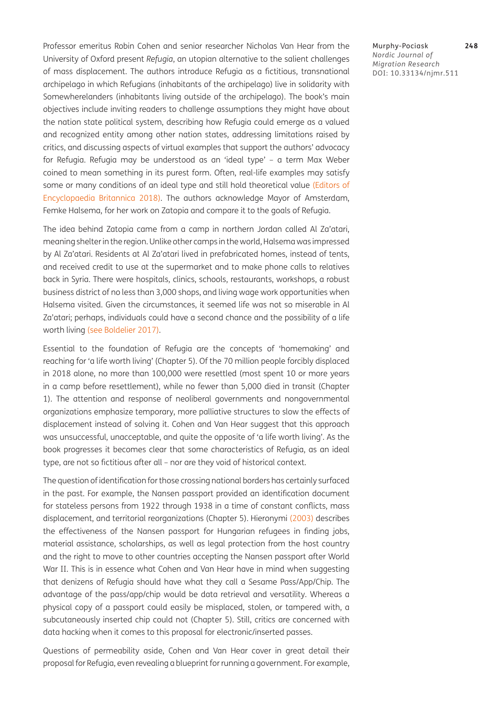Professor emeritus Robin Cohen and senior researcher Nicholas Van Hear from the University of Oxford present *Refugia*, an utopian alternative to the salient challenges of mass displacement. The authors introduce Refugia as a fictitious, transnational archipelago in which Refugians (inhabitants of the archipelago) live in solidarity with Somewherelanders (inhabitants living outside of the archipelago). The book's main objectives include inviting readers to challenge assumptions they might have about the nation state political system, describing how Refugia could emerge as a valued and recognized entity among other nation states, addressing limitations raised by critics, and discussing aspects of virtual examples that support the authors' advocacy for Refugia. Refugia may be understood as an 'ideal type' – a term Max Weber coined to mean something in its purest form. Often, real-life examples may satisfy some or many conditions of an ideal type and still hold theoretical value [\(Editors of](#page-3-0) [Encyclopaedia Britannica 2018\)](#page-3-0). The authors acknowledge Mayor of Amsterdam, Femke Halsema, for her work on Zatopia and compare it to the goals of Refugia.

The idea behind Zatopia came from a camp in northern Jordan called Al Za'atari, meaning shelter in the region. Unlike other camps in the world, Halsema was impressed by Al Za'atari. Residents at Al Za'atari lived in prefabricated homes, instead of tents, and received credit to use at the supermarket and to make phone calls to relatives back in Syria. There were hospitals, clinics, schools, restaurants, workshops, a robust business district of no less than 3,000 shops, and living wage work opportunities when Halsema visited. Given the circumstances, it seemed life was not so miserable in Al Za'atari; perhaps, individuals could have a second chance and the possibility of a life worth living [\(see Boldelier 2017\).](#page-3-1)

Essential to the foundation of Refugia are the concepts of 'homemaking' and reaching for 'a life worth living' (Chapter 5). Of the 70 million people forcibly displaced in 2018 alone, no more than 100,000 were resettled (most spent 10 or more years in a camp before resettlement), while no fewer than 5,000 died in transit (Chapter 1). The attention and response of neoliberal governments and nongovernmental organizations emphasize temporary, more palliative structures to slow the effects of displacement instead of solving it. Cohen and Van Hear suggest that this approach was unsuccessful, unacceptable, and quite the opposite of 'a life worth living'. As the book progresses it becomes clear that some characteristics of Refugia, as an ideal type, are not so fictitious after all – nor are they void of historical context.

The question of identification for those crossing national borders has certainly surfaced in the past. For example, the Nansen passport provided an identification document for stateless persons from 1922 through 1938 in a time of constant conflicts, mass displacement, and territorial reorganizations (Chapter 5). Hieronymi [\(2003\)](#page-3-2) describes the effectiveness of the Nansen passport for Hungarian refugees in finding jobs, material assistance, scholarships, as well as legal protection from the host country and the right to move to other countries accepting the Nansen passport after World War II. This is in essence what Cohen and Van Hear have in mind when suggesting that denizens of Refugia should have what they call a Sesame Pass/App/Chip. The advantage of the pass/app/chip would be data retrieval and versatility. Whereas a physical copy of a passport could easily be misplaced, stolen, or tampered with, a subcutaneously inserted chip could not (Chapter 5). Still, critics are concerned with data hacking when it comes to this proposal for electronic/inserted passes.

Questions of permeability aside, Cohen and Van Hear cover in great detail their proposal for Refugia, even revealing a blueprint for running a government. For example, Murphy-Pociask **248** *Nordic Journal of Migration Research* DOI: 10.33134/njmr.511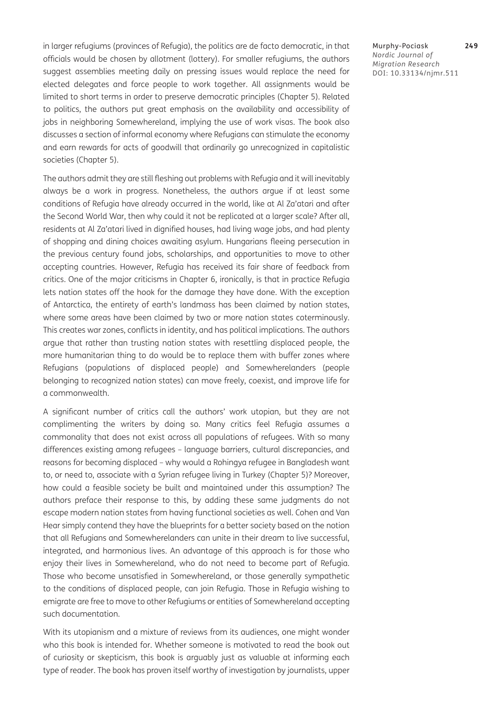in larger refugiums (provinces of Refugia), the politics are de facto democratic, in that officials would be chosen by allotment (lottery). For smaller refugiums, the authors suggest assemblies meeting daily on pressing issues would replace the need for elected delegates and force people to work together. All assignments would be limited to short terms in order to preserve democratic principles (Chapter 5). Related to politics, the authors put great emphasis on the availability and accessibility of jobs in neighboring Somewhereland, implying the use of work visas. The book also discusses a section of informal economy where Refugians can stimulate the economy and earn rewards for acts of goodwill that ordinarily go unrecognized in capitalistic societies (Chapter 5).

The authors admit they are still fleshing out problems with Refugia and it will inevitably always be a work in progress. Nonetheless, the authors argue if at least some conditions of Refugia have already occurred in the world, like at Al Za'atari and after the Second World War, then why could it not be replicated at a larger scale? After all, residents at Al Za'atari lived in dignified houses, had living wage jobs, and had plenty of shopping and dining choices awaiting asylum. Hungarians fleeing persecution in the previous century found jobs, scholarships, and opportunities to move to other accepting countries. However, Refugia has received its fair share of feedback from critics. One of the major criticisms in Chapter 6, ironically, is that in practice Refugia lets nation states off the hook for the damage they have done. With the exception of Antarctica, the entirety of earth's landmass has been claimed by nation states, where some areas have been claimed by two or more nation states coterminously. This creates war zones, conflicts in identity, and has political implications. The authors argue that rather than trusting nation states with resettling displaced people, the more humanitarian thing to do would be to replace them with buffer zones where Refugians (populations of displaced people) and Somewherelanders (people belonging to recognized nation states) can move freely, coexist, and improve life for a commonwealth.

A significant number of critics call the authors' work utopian, but they are not complimenting the writers by doing so. Many critics feel Refugia assumes a commonality that does not exist across all populations of refugees. With so many differences existing among refugees – language barriers, cultural discrepancies, and reasons for becoming displaced – why would a Rohingya refugee in Bangladesh want to, or need to, associate with a Syrian refugee living in Turkey (Chapter 5)? Moreover, how could a feasible society be built and maintained under this assumption? The authors preface their response to this, by adding these same judgments do not escape modern nation states from having functional societies as well. Cohen and Van Hear simply contend they have the blueprints for a better society based on the notion that all Refugians and Somewherelanders can unite in their dream to live successful, integrated, and harmonious lives. An advantage of this approach is for those who enjoy their lives in Somewhereland, who do not need to become part of Refugia. Those who become unsatisfied in Somewhereland, or those generally sympathetic to the conditions of displaced people, can join Refugia. Those in Refugia wishing to emigrate are free to move to other Refugiums or entities of Somewhereland accepting such documentation.

With its utopianism and a mixture of reviews from its audiences, one might wonder who this book is intended for. Whether someone is motivated to read the book out of curiosity or skepticism, this book is arguably just as valuable at informing each type of reader. The book has proven itself worthy of investigation by journalists, upper

Murphy-Pociask **249** *Nordic Journal of Migration Research* DOI: 10.33134/njmr.511